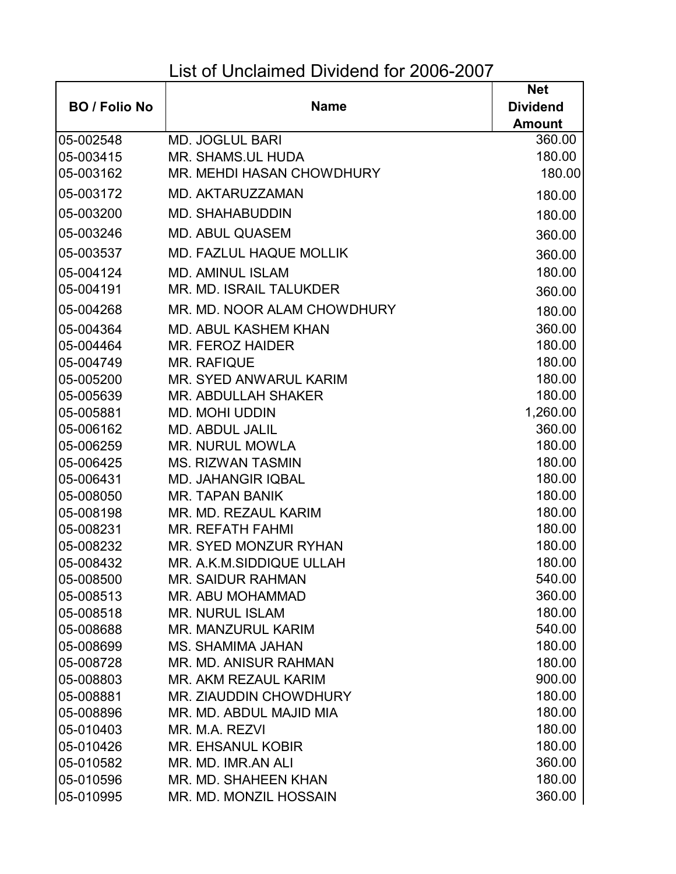## List of Unclaimed Dividend for 2006-2007

|                      |                                  | <b>Net</b>      |
|----------------------|----------------------------------|-----------------|
| <b>BO</b> / Folio No | <b>Name</b>                      | <b>Dividend</b> |
|                      |                                  | <b>Amount</b>   |
| 05-002548            | <b>MD. JOGLUL BARI</b>           | 360.00          |
| 05-003415            | <b>MR. SHAMS, UL HUDA</b>        | 180.00          |
| 05-003162            | <b>MR. MEHDI HASAN CHOWDHURY</b> | 180.00          |
| 05-003172            | MD. AKTARUZZAMAN                 | 180.00          |
| 05-003200            | <b>MD. SHAHABUDDIN</b>           | 180.00          |
| 05-003246            | <b>MD. ABUL QUASEM</b>           | 360.00          |
| 05-003537            | <b>MD. FAZLUL HAQUE MOLLIK</b>   | 360.00          |
| 05-004124            | <b>MD. AMINUL ISLAM</b>          | 180.00          |
| 05-004191            | MR. MD. ISRAIL TALUKDER          | 360.00          |
| 05-004268            | MR. MD. NOOR ALAM CHOWDHURY      | 180.00          |
| 05-004364            | <b>MD. ABUL KASHEM KHAN</b>      | 360.00          |
| 05-004464            | MR. FEROZ HAIDER                 | 180.00          |
| 05-004749            | <b>MR. RAFIQUE</b>               | 180.00          |
| 05-005200            | MR. SYED ANWARUL KARIM           | 180.00          |
| 05-005639            | <b>MR. ABDULLAH SHAKER</b>       | 180.00          |
| 05-005881            | <b>MD. MOHI UDDIN</b>            | 1,260.00        |
| 05-006162            | <b>MD. ABDUL JALIL</b>           | 360.00          |
| 05-006259            | <b>MR. NURUL MOWLA</b>           | 180.00          |
| 05-006425            | <b>MS. RIZWAN TASMIN</b>         | 180.00          |
| 05-006431            | <b>MD. JAHANGIR IQBAL</b>        | 180.00          |
| 05-008050            | <b>MR. TAPAN BANIK</b>           | 180.00          |
| 05-008198            | MR. MD. REZAUL KARIM             | 180.00          |
| 05-008231            | <b>MR. REFATH FAHMI</b>          | 180.00          |
| 05-008232            | MR. SYED MONZUR RYHAN            | 180.00          |
| 05-008432            | MR. A.K.M.SIDDIQUE ULLAH         | 180.00          |
| 05-008500            | <b>MR. SAIDUR RAHMAN</b>         | 540.00          |
| 05-008513            | MR. ABU MOHAMMAD                 | 360.00          |
| 05-008518            | <b>MR. NURUL ISLAM</b>           | 180.00          |
| 05-008688            | MR. MANZURUL KARIM               | 540.00          |
| 05-008699            | <b>MS. SHAMIMA JAHAN</b>         | 180.00          |
| 05-008728            | MR. MD. ANISUR RAHMAN            | 180.00          |
| 05-008803            | MR. AKM REZAUL KARIM             | 900.00          |
| 05-008881            | MR. ZIAUDDIN CHOWDHURY           | 180.00          |
| 05-008896            | MR. MD. ABDUL MAJID MIA          | 180.00          |
| 05-010403            | MR. M.A. REZVI                   | 180.00          |
| 05-010426            | <b>MR. EHSANUL KOBIR</b>         | 180.00          |
| 05-010582            | MR. MD. IMR.AN ALI               | 360.00          |
| 05-010596            | MR. MD. SHAHEEN KHAN             | 180.00          |
| 05-010995            | MR. MD. MONZIL HOSSAIN           | 360.00          |